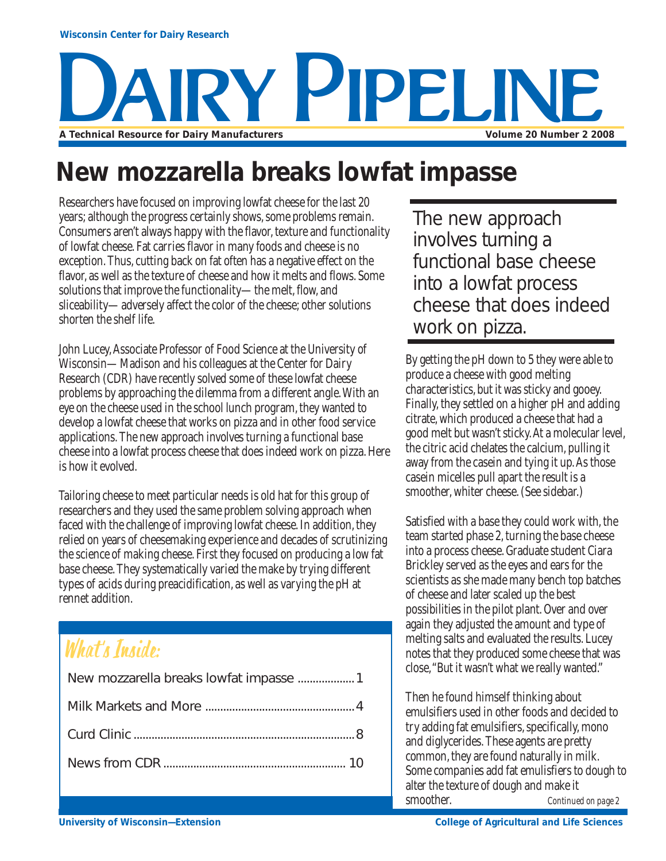# Y PIPELIN **A Technical Resource for Dairy Manufacturers Volume 20 Number 2 2008**

## **New mozzarella breaks lowfat impasse**

Researchers have focused on improving lowfat cheese for the last 20 years; although the progress certainly shows, some problems remain. Consumers aren't always happy with the flavor, texture and functionality of lowfat cheese. Fat carries flavor in many foods and cheese is no exception. Thus, cutting back on fat often has a negative effect on the flavor, as well as the texture of cheese and how it melts and flows. Some solutions that improve the functionality—the melt, flow, and sliceability—adversely affect the color of the cheese; other solutions shorten the shelf life.

John Lucey, Associate Professor of Food Science at the University of Wisconsin—Madison and his colleagues at the Center for Dairy Research (CDR) have recently solved some of these lowfat cheese problems by approaching the dilemma from a different angle. With an eye on the cheese used in the school lunch program, they wanted to develop a lowfat cheese that works on pizza and in other food service applications. The new approach involves turning a functional base cheese into a lowfat process cheese that does indeed work on pizza. Here is how it evolved.

Tailoring cheese to meet particular needs is old hat for this group of researchers and they used the same problem solving approach when faced with the challenge of improving lowfat cheese. In addition, they relied on years of cheesemaking experience and decades of scrutinizing the science of making cheese. First they focused on producing a low fat base cheese. They systematically varied the make by trying different types of acids during preacidification, as well as varying the pH at rennet addition.

## What's Inside:

The new approach involves turning a functional base cheese into a lowfat process cheese that does indeed work on pizza.

By getting the pH down to 5 they were able to produce a cheese with good melting characteristics, but it was sticky and gooey. Finally, they settled on a higher pH and adding citrate, which produced a cheese that had a good melt but wasn't sticky. At a molecular level, the citric acid chelates the calcium, pulling it away from the casein and tying it up. As those casein micelles pull apart the result is a smoother, whiter cheese. (See sidebar.)

Satisfied with a base they could work with, the team started phase 2, turning the base cheese into a process cheese. Graduate student Ciara Brickley served as the eyes and ears for the scientists as she made many bench top batches of cheese and later scaled up the best possibilities in the pilot plant. Over and over again they adjusted the amount and type of melting salts and evaluated the results. Lucey notes that they produced some cheese that was close, "But it wasn't what we really wanted."

*Continued on page 2* Then he found himself thinking about emulsifiers used in other foods and decided to try adding fat emulsifiers, specifically, mono and diglycerides. These agents are pretty common, they are found naturally in milk. Some companies add fat emulisfiers to dough to alter the texture of dough and make it smoother.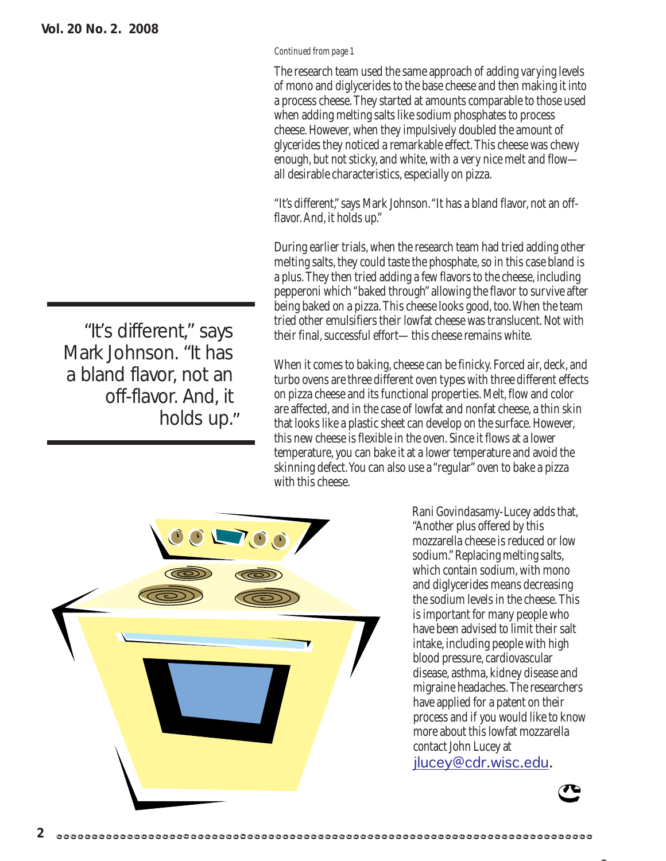"It's different," says

off-flavor. And, it

holds up."

Mark Johnson. "It has

a bland flavor, not an

#### *Continued from page 1*

The research team used the same approach of adding varying levels of mono and diglycerides to the base cheese and then making it into a process cheese. They started at amounts comparable to those used when adding melting salts like sodium phosphates to process cheese. However, when they impulsively doubled the amount of glycerides they noticed a remarkable effect. This cheese was chewy enough, but not sticky, and white, with a very nice melt and flow all desirable characteristics, especially on pizza.

"It's different," says Mark Johnson. "It has a bland flavor, not an offflavor. And, it holds up."

During earlier trials, when the research team had tried adding other melting salts, they could taste the phosphate, so in this case bland is a plus. They then tried adding a few flavors to the cheese, including pepperoni which "baked through" allowing the flavor to survive after being baked on a pizza. This cheese looks good, too. When the team tried other emulsifiers their lowfat cheese was translucent. Not with their final, successful effort—this cheese remains white.

When it comes to baking, cheese can be finicky. Forced air, deck, and turbo ovens are three different oven types with three different effects on pizza cheese and its functional properties. Melt, flow and color are affected, and in the case of lowfat and nonfat cheese, a thin skin that looks like a plastic sheet can develop on the surface. However, this new cheese is flexible in the oven. Since it flows at a lower temperature, you can bake it at a lower temperature and avoid the skinning defect. You can also use a "regular" oven to bake a pizza with this cheese.



Rani Govindasamy-Lucey adds that, "Another plus offered by this mozzarella cheese is reduced or low sodium." Replacing melting salts, which contain sodium, with mono and diglycerides means decreasing the sodium levels in the cheese. This is important for many people who have been advised to limit their salt intake, including people with high blood pressure, cardiovascular disease, asthma, kidney disease and migraine headaches. The researchers have applied for a patent on their process and if you would like to know more about this lowfat mozzarella contact John Lucey at jlucey@cdr.wisc.edu.

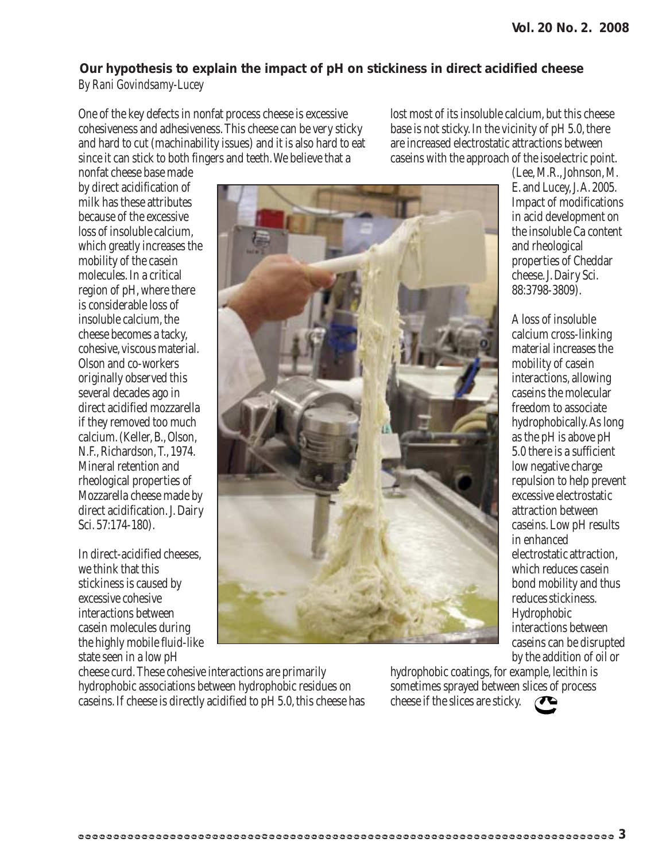#### **Our hypothesis to explain the impact of pH on stickiness in direct acidified cheese** *By Rani Govindsamy-Lucey*

One of the key defects in nonfat process cheese is excessive cohesiveness and adhesiveness. This cheese can be very sticky and hard to cut (machinability issues) and it is also hard to eat since it can stick to both fingers and teeth. We believe that a

lost most of its insoluble calcium, but this cheese base is not sticky. In the vicinity of pH 5.0, there are increased electrostatic attractions between caseins with the approach of the isoelectric point.

nonfat cheese base made by direct acidification of milk has these attributes because of the excessive loss of insoluble calcium, which greatly increases the mobility of the casein molecules. In a critical region of pH, where there is considerable loss of insoluble calcium, the cheese becomes a tacky, cohesive, viscous material. Olson and co-workers originally observed this several decades ago in direct acidified mozzarella if they removed too much calcium. (Keller, B., Olson, N.F., Richardson, T., 1974. Mineral retention and rheological properties of Mozzarella cheese made by direct acidification. J. Dairy Sci. 57:174-180).

In direct-acidified cheeses, we think that this stickiness is caused by excessive cohesive interactions between casein molecules during the highly mobile fluid-like state seen in a low pH



cheese curd. These cohesive interactions are primarily hydrophobic associations between hydrophobic residues on caseins. If cheese is directly acidified to pH 5.0, this cheese has

hydrophobic coatings, for example, lecithin is sometimes sprayed between slices of process cheese if the slices are sticky.

(Lee, M.R., Johnson, M. E. and Lucey, J. A. 2005. Impact of modifications in acid development on the insoluble Ca content and rheological properties of Cheddar cheese. J. Dairy Sci. 88:3798-3809).

A loss of insoluble calcium cross-linking material increases the mobility of casein interactions, allowing caseins the molecular freedom to associate hydrophobically. As long as the pH is above pH 5.0 there is a sufficient low negative charge repulsion to help prevent excessive electrostatic attraction between caseins. Low pH results in enhanced electrostatic attraction, which reduces casein bond mobility and thus reduces stickiness. Hydrophobic interactions between caseins can be disrupted by the addition of oil or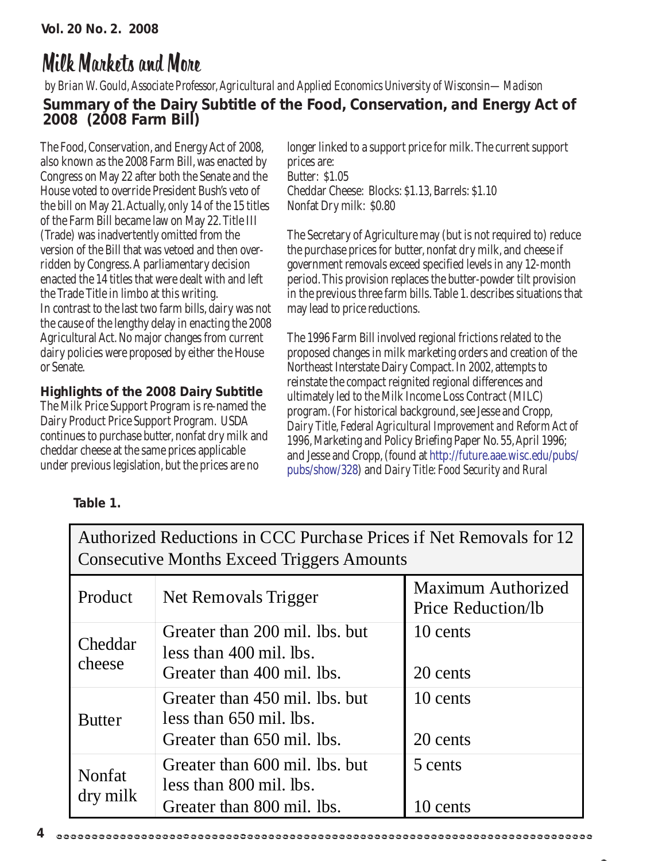### Milk Markets and More

#### *by Brian W. Gould, Associate Professor, Agricultural and Applied Economics University of Wisconsin—Madison* **Summary of the Dairy Subtitle of the Food, Conservation, and Energy Act of 2008 (2008 Farm Bill)**

The Food, Conservation, and Energy Act of 2008, also known as the 2008 Farm Bill, was enacted by Congress on May 22 after both the Senate and the House voted to override President Bush's veto of the bill on May 21. Actually, only 14 of the 15 titles of the Farm Bill became law on May 22. Title III (Trade) was inadvertently omitted from the version of the Bill that was vetoed and then overridden by Congress. A parliamentary decision enacted the 14 titles that were dealt with and left the Trade Title in limbo at this writing. In contrast to the last two farm bills, dairy was not the cause of the lengthy delay in enacting the 2008 Agricultural Act. No major changes from current dairy policies were proposed by either the House or Senate.

#### **Highlights of the 2008 Dairy Subtitle**

The Milk Price Support Program is re-named the Dairy Product Price Support Program. USDA continues to purchase butter, nonfat dry milk and cheddar cheese at the same prices applicable under previous legislation, but the prices are no

longer linked to a support price for milk. The current support prices are: Butter: \$1.05 Cheddar Cheese: Blocks: \$1.13, Barrels: \$1.10 Nonfat Dry milk: \$0.80

The Secretary of Agriculture may (but is not required to) reduce the purchase prices for butter, nonfat dry milk, and cheese if government removals exceed specified levels in any 12-month period. This provision replaces the butter-powder tilt provision in the previous three farm bills. Table 1. describes situations that may lead to price reductions.

The 1996 Farm Bill involved regional frictions related to the proposed changes in milk marketing orders and creation of the Northeast Interstate Dairy Compact. In 2002, attempts to reinstate the compact reignited regional differences and ultimately led to the Milk Income Loss Contract (MILC) program. (For historical background, see Jesse and Cropp, *Dairy Title, Federal Agricultural Improvement and Reform Act of 1996*, Marketing and Policy Briefing Paper No. 55, April 1996; and Jesse and Cropp, (found at http://future.aae.wisc.edu/pubs/ pubs/show/328) and *Dairy Title: Food Security and Rural*

| <b>Consecutive Months Exceed Triggers Amounts</b> |                                                                                         |                                                        |
|---------------------------------------------------|-----------------------------------------------------------------------------------------|--------------------------------------------------------|
| Product                                           | Net Removals Trigger                                                                    | <b>Maximum Authorized</b><br><b>Price Reduction/lb</b> |
| Cheddar<br>cheese                                 | Greater than 200 mil. lbs. but<br>less than 400 mil. lbs.<br>Greater than 400 mil. lbs. | 10 cents<br>20 cents                                   |
| <b>Butter</b>                                     | Greater than 450 mil. lbs. but<br>less than 650 mil. lbs.<br>Greater than 650 mil. lbs. | 10 cents<br>20 cents                                   |
| Nonfat<br>dry milk                                | Greater than 600 mil. lbs. but<br>less than 800 mil. lbs.<br>Greater than 800 mil. lbs. | 5 cents<br>cents                                       |

Authorized Reductions in CCC Purchase Prices if Net Removals for 12

#### **Table 1.**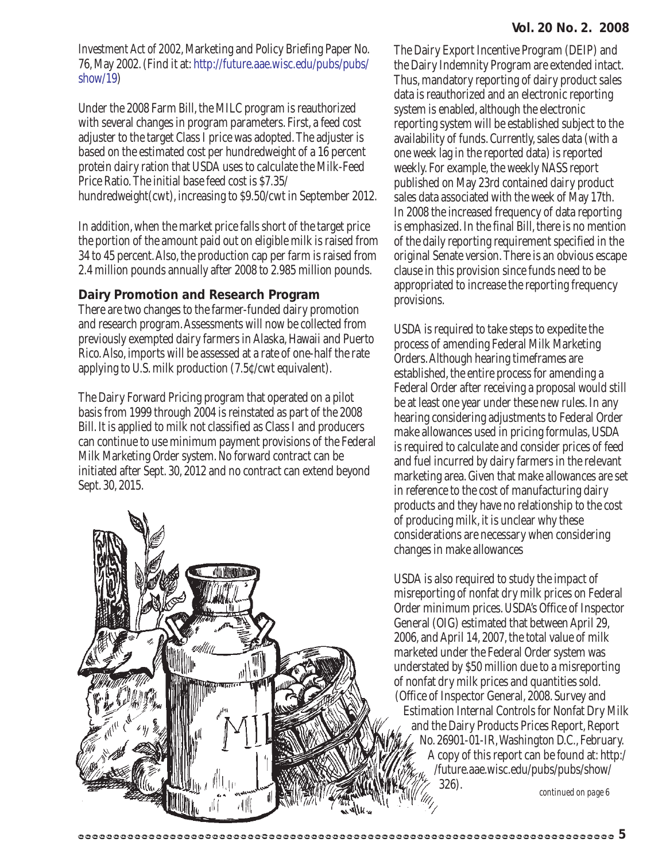*Investment Act of 2002*, Marketing and Policy Briefing Paper No. 76, May 2002. (Find it at: http://future.aae.wisc.edu/pubs/pubs/ show/19)

Under the 2008 Farm Bill, the MILC program is reauthorized with several changes in program parameters. First, a feed cost adjuster to the target Class I price was adopted. The adjuster is based on the estimated cost per hundredweight of a 16 percent protein dairy ration that USDA uses to calculate the Milk-Feed Price Ratio. The initial base feed cost is \$7.35/ hundredweight(cwt), increasing to \$9.50/cwt in September 2012.

In addition, when the market price falls short of the target price the portion of the amount paid out on eligible milk is raised from 34 to 45 percent. Also, the production cap per farm is raised from 2.4 million pounds annually after 2008 to 2.985 million pounds.

#### **Dairy Promotion and Research Program**

There are two changes to the farmer-funded dairy promotion and research program. Assessments will now be collected from previously exempted dairy farmers in Alaska, Hawaii and Puerto Rico. Also, imports will be assessed at a rate of one-half the rate applying to U.S. milk production (7.5¢/cwt equivalent).

The Dairy Forward Pricing program that operated on a pilot basis from 1999 through 2004 is reinstated as part of the 2008 Bill. It is applied to milk not classified as Class I and producers can continue to use minimum payment provisions of the Federal Milk Marketing Order system. No forward contract can be initiated after Sept. 30, 2012 and no contract can extend beyond Sept. 30, 2015.



The Dairy Export Incentive Program (DEIP) and the Dairy Indemnity Program are extended intact. Thus, mandatory reporting of dairy product sales data is reauthorized and an electronic reporting system is enabled, although the electronic reporting system will be established subject to the availability of funds. Currently, sales data (with a one week lag in the reported data) is reported weekly. For example, the weekly NASS report published on May 23rd contained dairy product sales data associated with the week of May 17th. In 2008 the increased frequency of data reporting is emphasized. In the final Bill, there is no mention of the daily reporting requirement specified in the original Senate version. There is an obvious escape clause in this provision since funds need to be appropriated to increase the reporting frequency provisions.

USDA is required to take steps to expedite the process of amending Federal Milk Marketing Orders. Although hearing timeframes are established, the entire process for amending a Federal Order after receiving a proposal would still be at least one year under these new rules. In any hearing considering adjustments to Federal Order make allowances used in pricing formulas, USDA is required to calculate and consider prices of feed and fuel incurred by dairy farmers in the relevant marketing area. Given that make allowances are set in reference to the cost of manufacturing dairy products and they have no relationship to the cost of producing milk, it is unclear why these considerations are necessary when considering changes in make allowances

USDA is also required to study the impact of misreporting of nonfat dry milk prices on Federal Order minimum prices. USDA's Office of Inspector General (OIG) estimated that between April 29, 2006, and April 14, 2007, the total value of milk marketed under the Federal Order system was understated by \$50 million due to a misreporting of nonfat dry milk prices and quantities sold. (Office of Inspector General, 2008. Survey and Estimation Internal Controls for Nonfat Dry Milk and the Dairy Products Prices Report, Report No. 26901-01-IR, Washington D.C., February. A copy of this report can be found at: http:/ /future.aae.wisc.edu/pubs/pubs/show/ 326). *continued on page 6*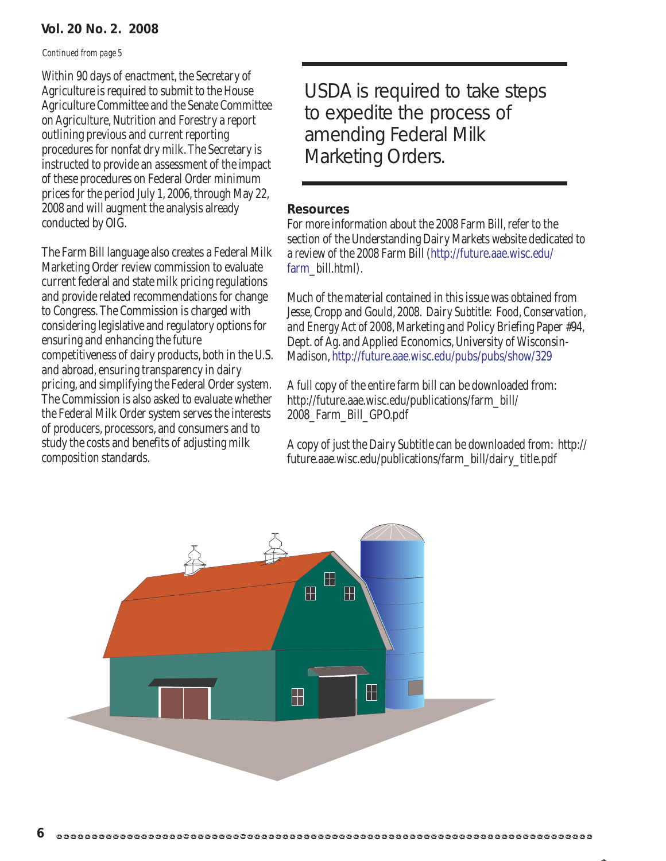#### **Vol. 20 No. 2. 2008**

#### *Continued from page 5*

Within 90 days of enactment, the Secretary of Agriculture is required to submit to the House Agriculture Committee and the Senate Committee on Agriculture, Nutrition and Forestry a report outlining previous and current reporting procedures for nonfat dry milk. The Secretary is instructed to provide an assessment of the impact of these procedures on Federal Order minimum prices for the period July 1, 2006, through May 22, 2008 and will augment the analysis already conducted by OIG.

The Farm Bill language also creates a Federal Milk Marketing Order review commission to evaluate current federal and state milk pricing regulations and provide related recommendations for change to Congress. The Commission is charged with considering legislative and regulatory options for ensuring and enhancing the future competitiveness of dairy products, both in the U.S. and abroad, ensuring transparency in dairy pricing, and simplifying the Federal Order system. The Commission is also asked to evaluate whether the Federal Milk Order system serves the interests of producers, processors, and consumers and to study the costs and benefits of adjusting milk composition standards.

USDA is required to take steps to expedite the process of amending Federal Milk Marketing Orders.

#### **Resources**

For more information about the 2008 Farm Bill, refer to the section of the Understanding Dairy Markets website dedicated to a review of the 2008 Farm Bill (http://future.aae.wisc.edu/ farm\_bill.html).

Much of the material contained in this issue was obtained from Jesse, Cropp and Gould, 2008. *Dairy Subtitle: Food, Conservation, and Energy Act of 2008*, Marketing and Policy Briefing Paper #94, Dept. of Ag. and Applied Economics, University of Wisconsin-Madison, http://future.aae.wisc.edu/pubs/pubs/show/329

A full copy of the entire farm bill can be downloaded from: http://future.aae.wisc.edu/publications/farm\_bill/ 2008\_Farm\_Bill\_GPO.pdf

A copy of just the Dairy Subtitle can be downloaded from: http:// future.aae.wisc.edu/publications/farm\_bill/dairy\_title.pdf

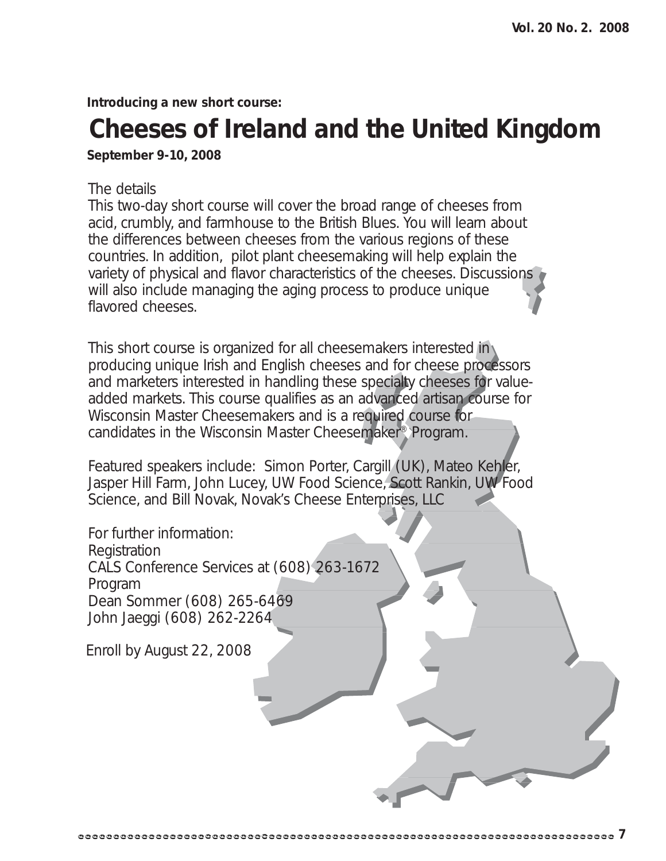**Introducing a new short course:**

# **Cheeses of Ireland and the United Kingdom**

**September 9-10, 2008**

#### The details

This two-day short course will cover the broad range of cheeses from acid, crumbly, and farmhouse to the British Blues. You will learn about the differences between cheeses from the various regions of these countries. In addition, pilot plant cheesemaking will help explain the variety of physical and flavor characteristics of the cheeses. Discussions will also include managing the aging process to produce unique flavored cheeses.

This short course is organized for all cheesemakers interested in producing unique Irish and English cheeses and for cheese processors and marketers interested in handling these specialty cheeses for valueadded markets. This course qualifies as an advanced artisan course for Wisconsin Master Cheesemakers and is a required course for candidates in the Wisconsin Master Cheesemaker® Program.

Featured speakers include: Simon Porter, Cargill (UK), Mateo Kehler, Jasper Hill Farm, John Lucey, UW Food Science, Scott Rankin, UW Food Science, and Bill Novak, Novak's Cheese Enterprises, LLC

For further information: Registration CALS Conference Services at (608) 263-1672 Program Dean Sommer (608) 265-6469 John Jaeggi (608) 262-2264

Enroll by August 22, 2008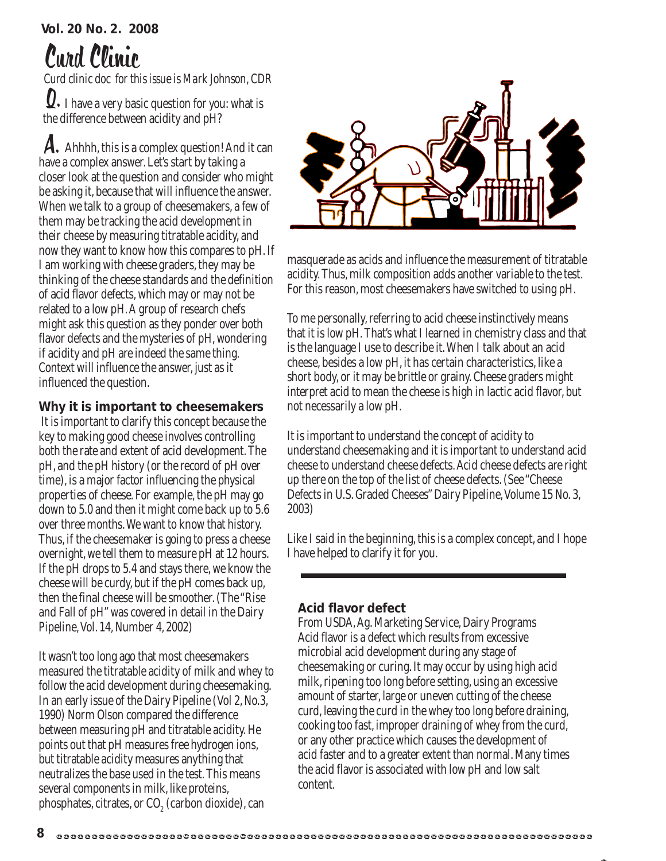## Curd Clinic

*Curd clinic doc for this issue is Mark Johnson, CDR* Q. I have a very basic question for you: what is the difference between acidity and pH?

A. Ahhhh, this is a complex question! And it can have a complex answer. Let's start by taking a closer look at the question and consider who might be asking it, because that will influence the answer. When we talk to a group of cheesemakers, a few of them may be tracking the acid development in their cheese by measuring titratable acidity, and now they want to know how this compares to pH. If I am working with cheese graders, they may be thinking of the cheese standards and the definition of acid flavor defects, which may or may not be related to a low pH. A group of research chefs might ask this question as they ponder over both flavor defects and the mysteries of pH, wondering if acidity and pH are indeed the same thing. Context will influence the answer, just as it influenced the question.

#### **Why it is important to cheesemakers**

 It is important to clarify this concept because the key to making good cheese involves controlling both the rate and extent of acid development. The pH, and the pH history (or the record of pH over time), is a major factor influencing the physical properties of cheese. For example, the pH may go down to 5.0 and then it might come back up to 5.6 over three months. We want to know that history. Thus, if the cheesemaker is going to press a cheese overnight, we tell them to measure pH at 12 hours. If the pH drops to 5.4 and stays there, we know the cheese will be curdy, but if the pH comes back up, then the final cheese will be smoother. (The "Rise and Fall of pH" was covered in detail in the Dairy Pipeline, Vol. 14, Number 4, 2002)

It wasn't too long ago that most cheesemakers measured the titratable acidity of milk and whey to follow the acid development during cheesemaking. In an early issue of the Dairy Pipeline (Vol 2, No.3, 1990) Norm Olson compared the difference between measuring pH and titratable acidity. He points out that pH measures free hydrogen ions, but titratable acidity measures anything that neutralizes the base used in the test. This means several components in milk, like proteins, phosphates, citrates, or CO $_{\tiny 2}$  (carbon dioxide), can



masquerade as acids and influence the measurement of titratable acidity. Thus, milk composition adds another variable to the test. For this reason, most cheesemakers have switched to using pH.

To me personally, referring to acid cheese instinctively means that it is low pH. That's what I learned in chemistry class and that is the language I use to describe it. When I talk about an acid cheese, besides a low pH, it has certain characteristics, like a short body, or it may be brittle or grainy. Cheese graders might interpret acid to mean the cheese is high in lactic acid flavor, but not necessarily a low pH.

It is important to understand the concept of acidity to understand cheesemaking and it is important to understand acid cheese to understand cheese defects. Acid cheese defects are right up there on the top of the list of cheese defects. (See "Cheese Defects in U.S. Graded Cheeses" Dairy Pipeline, Volume 15 No. 3, 2003)

Like I said in the beginning, this is a complex concept, and I hope I have helped to clarify it for you.

#### **Acid flavor defect**

From USDA, Ag. Marketing Service, Dairy Programs Acid flavor is a defect which results from excessive microbial acid development during any stage of cheesemaking or curing. It may occur by using high acid milk, ripening too long before setting, using an excessive amount of starter, large or uneven cutting of the cheese curd, leaving the curd in the whey too long before draining, cooking too fast, improper draining of whey from the curd, or any other practice which causes the development of acid faster and to a greater extent than normal. Many times the acid flavor is associated with low pH and low salt content.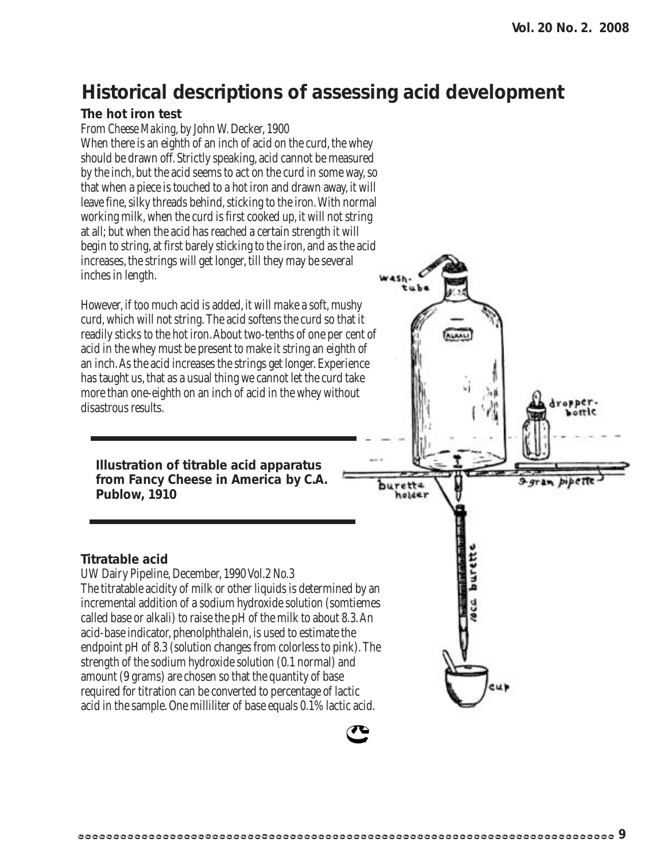### **Historical descriptions of assessing acid development**

#### **The hot iron test**

**Titratable acid**

From *Cheese Making*, by John W. Decker, 1900

When there is an eighth of an inch of acid on the curd, the whey should be drawn off. Strictly speaking, acid cannot be measured by the inch, but the acid seems to act on the curd in some way, so that when a piece is touched to a hot iron and drawn away, it will leave fine, silky threads behind, sticking to the iron. With normal working milk, when the curd is first cooked up, it will not string at all; but when the acid has reached a certain strength it will begin to string, at first barely sticking to the iron, and as the acid increases, the strings will get longer, till they may be several inches in length.

However, if too much acid is added, it will make a soft, mushy curd, which will not string. The acid softens the curd so that it readily sticks to the hot iron. About two-tenths of one per cent of acid in the whey must be present to make it string an eighth of an inch. As the acid increases the strings get longer. Experience has taught us, that as a usual thing we cannot let the curd take more than one-eighth on an inch of acid in the whey without disastrous results.

**Illustration of titrable acid apparatus from** *Fancy Cheese in America* **by C.A. Publow, 1910**

acid-base indicator, phenolphthalein, is used to estimate the

strength of the sodium hydroxide solution (0.1 normal) and amount (9 grams) are chosen so that the quantity of base

UW Dairy Pipeline, December, 1990 Vol.2 No.3

# rette nolder burett The titratable acidity of milk or other liquids is determined by an incremental addition of a sodium hydroxide solution (somtiemes called base or alkali) to raise the pH of the milk to about 8.3. An endpoint pH of 8.3 (solution changes from colorless to pink). The required for titration can be converted to percentage of lactic acid in the sample. One milliliter of base equals 0.1% lactic acid.

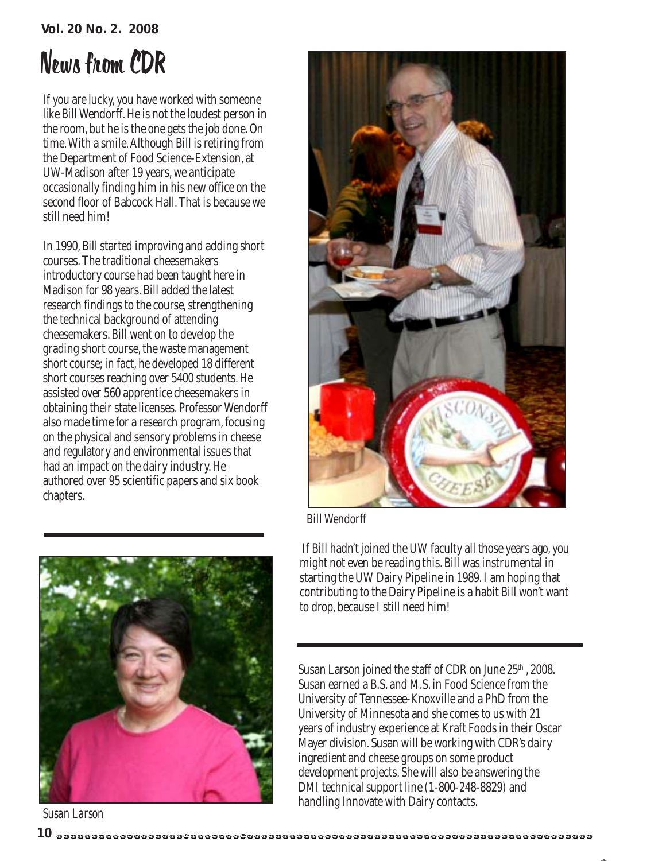#### **Vol. 20 No. 2. 2008**

# News from CDR

If you are lucky, you have worked with someone like Bill Wendorff. He is not the loudest person in the room, but he is the one gets the job done. On time. With a smile. Although Bill is retiring from the Department of Food Science-Extension, at UW-Madison after 19 years, we anticipate occasionally finding him in his new office on the second floor of Babcock Hall. That is because we still need him!

In 1990, Bill started improving and adding short courses. The traditional cheesemakers introductory course had been taught here in Madison for 98 years. Bill added the latest research findings to the course, strengthening the technical background of attending cheesemakers. Bill went on to develop the grading short course, the waste management short course; in fact, he developed 18 different short courses reaching over 5400 students. He assisted over 560 apprentice cheesemakers in obtaining their state licenses. Professor Wendorff also made time for a research program, focusing on the physical and sensory problems in cheese and regulatory and environmental issues that had an impact on the dairy industry. He authored over 95 scientific papers and six book chapters.



*Susan Larson*



*Bill Wendorff*

 If Bill hadn't joined the UW faculty all those years ago, you might not even be reading this. Bill was instrumental in starting the UW Dairy Pipeline in 1989. I am hoping that contributing to the Dairy Pipeline is a habit Bill won't want to drop, because I still need him!

Susan Larson joined the staff of CDR on June 25<sup>th</sup>, 2008. Susan earned a B.S. and M.S. in Food Science from the University of Tennessee-Knoxville and a PhD from the University of Minnesota and she comes to us with 21 years of industry experience at Kraft Foods in their Oscar Mayer division. Susan will be working with CDR's dairy ingredient and cheese groups on some product development projects. She will also be answering the DMI technical support line (1-800-248-8829) and handling Innovate with Dairy contacts.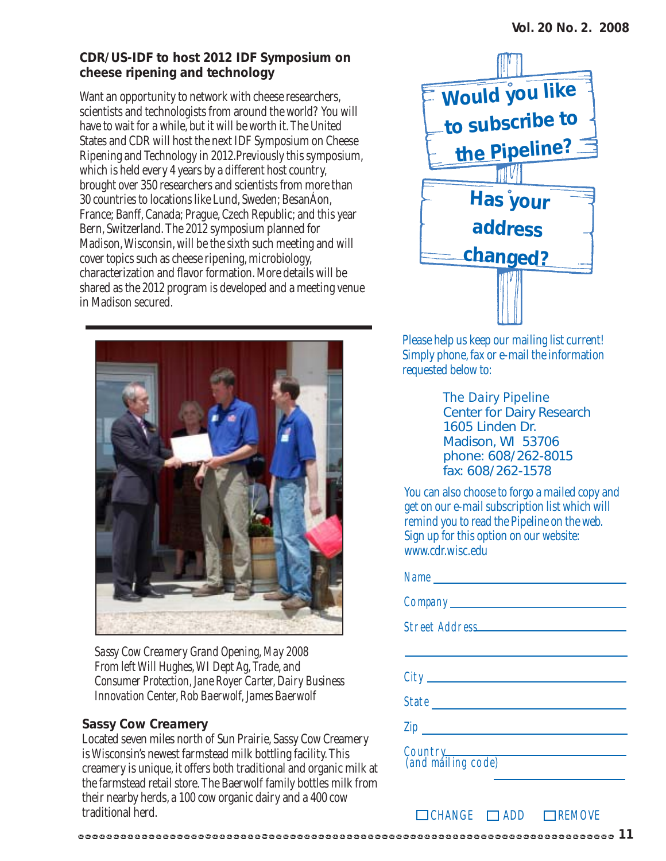#### **CDR/US-IDF to host 2012 IDF Symposium on cheese ripening and technology**

Want an opportunity to network with cheese researchers, scientists and technologists from around the world? You will have to wait for a while, but it will be worth it. The United States and CDR will host the next IDF Symposium on Cheese Ripening and Technology in 2012.Previously this symposium, which is held every 4 years by a different host country, brought over 350 researchers and scientists from more than 30 countries to locations like Lund, Sweden; BesanÁon, France; Banff, Canada; Prague, Czech Republic; and this year Bern, Switzerland. The 2012 symposium planned for Madison, Wisconsin, will be the sixth such meeting and will cover topics such as cheese ripening, microbiology, characterization and flavor formation. More details will be shared as the 2012 program is developed and a meeting venue in Madison secured.



*Sassy Cow Creamery Grand Opening, May 2008 From left Will Hughes, WI Dept Ag, Trade, and Consumer Protection, Jane Royer Carter, Dairy Business Innovation Center, Rob Baerwolf, James Baerwolf*

#### **Sassy Cow Creamery**

Located seven miles north of Sun Prairie, Sassy Cow Creamery is Wisconsin's newest farmstead milk bottling facility. This creamery is unique, it offers both traditional and organic milk at the farmstead retail store. The Baerwolf family bottles milk from their nearby herds, a 100 cow organic dairy and a 400 cow traditional herd.



Please help us keep our mailing list current! Simply phone, fax or e-mail the information requested below to:

> *The Dairy Pipeline* Center for Dairy Research 1605 Linden Dr. Madison, WI 53706 phone: 608/262-8015 fax: 608/262-1578

You can also choose to forgo a mailed copy and get on our e-mail subscription list which will remind you to read the Pipeline on the web. Sign up for this option on our website: www.cdr.wisc.edu

| State                         |
|-------------------------------|
|                               |
| Country<br>(and mailing code) |

 $\Box$ CHANGE  $\Box$ ADD  $\Box$ REMOVE